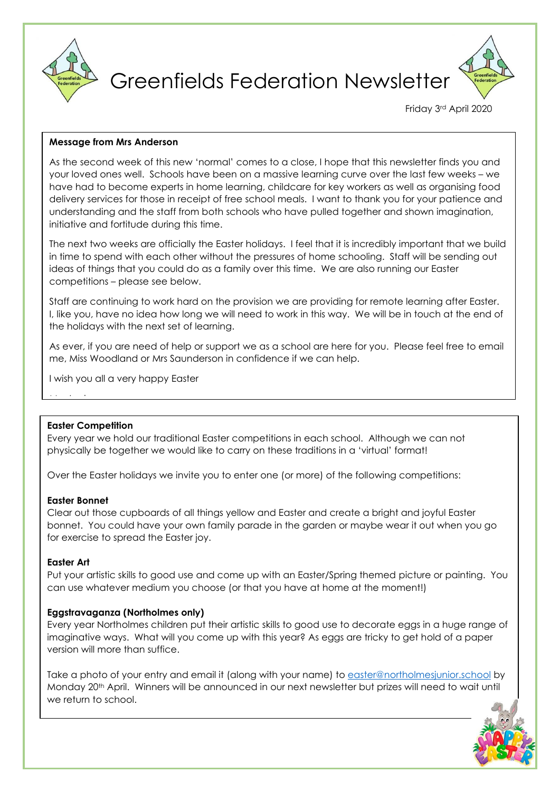

Greenfields Federation Newsletter

Friday 3rd April 2020

### **Message from Mrs Anderson**

As the second week of this new 'normal' comes to a close, I hope that this newsletter finds you and your loved ones well. Schools have been on a massive learning curve over the last few weeks – we have had to become experts in home learning, childcare for key workers as well as organising food delivery services for those in receipt of free school meals. I want to thank you for your patience and understanding and the staff from both schools who have pulled together and shown imagination, initiative and fortitude during this time.

The next two weeks are officially the Easter holidays. I feel that it is incredibly important that we build in time to spend with each other without the pressures of home schooling. Staff will be sending out ideas of things that you could do as a family over this time. We are also running our Easter competitions – please see below.

Staff are continuing to work hard on the provision we are providing for remote learning after Easter. I, like you, have no idea how long we will need to work in this way. We will be in touch at the end of the holidays with the next set of learning.

As ever, if you are need of help or support we as a school are here for you. Please feel free to email me, Miss Woodland or Mrs Saunderson in confidence if we can help.

I wish you all a very happy Easter

### **Easter Competition**

Mrs Anderson

Every year we hold our traditional Easter competitions in each school. Although we can not physically be together we would like to carry on these traditions in a 'virtual' format!

Over the Easter holidays we invite you to enter one (or more) of the following competitions:

### **Easter Bonnet**

Clear out those cupboards of all things yellow and Easter and create a bright and joyful Easter bonnet. You could have your own family parade in the garden or maybe wear it out when you go for exercise to spread the Easter joy.

### **Easter Art**

Put your artistic skills to good use and come up with an Easter/Spring themed picture or painting. You can use whatever medium you choose (or that you have at home at the moment!)

# **Eggstravaganza (Northolmes only)**

Every year Northolmes children put their artistic skills to good use to decorate eggs in a huge range of imaginative ways. What will you come up with this year? As eggs are tricky to get hold of a paper version will more than suffice.

Take a photo of your entry and email it (along with your name) to [easter@northolmesjunior.school](mailto:easter@northolmesjunior.school) by Monday 20<sup>th</sup> April. Winners will be announced in our next newsletter but prizes will need to wait until we return to school.